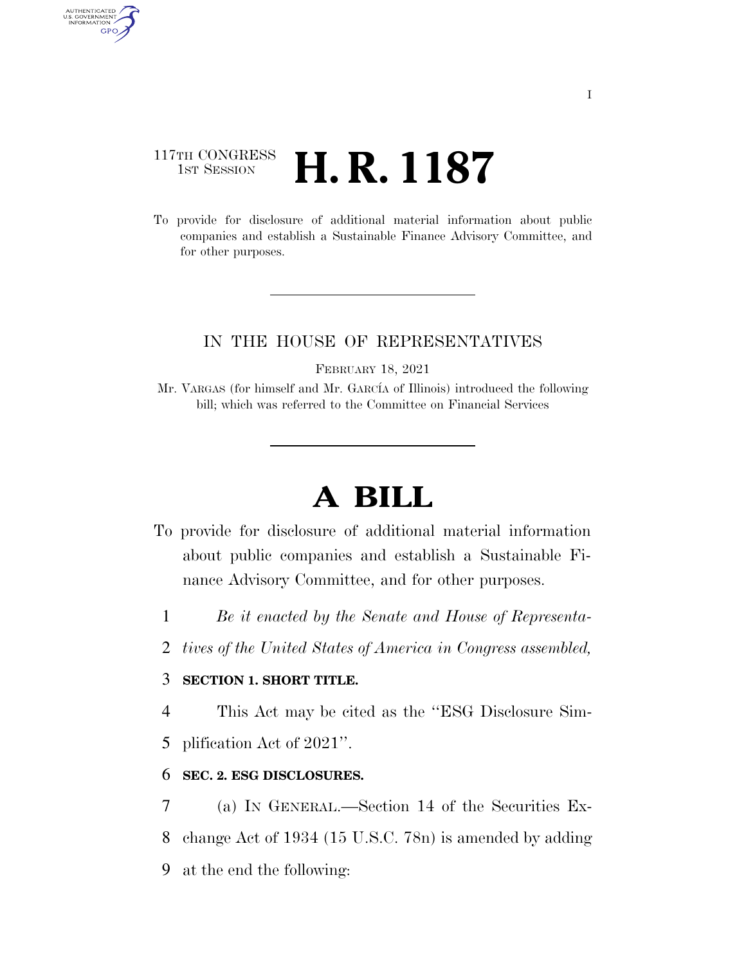## 117TH CONGRESS <sup>TH CONGRESS</sup>  $\,$  **H. R. 1187**

AUTHENTICATED<br>U.S. GOVERNMENT<br>INFORMATION GPO

> To provide for disclosure of additional material information about public companies and establish a Sustainable Finance Advisory Committee, and for other purposes.

### IN THE HOUSE OF REPRESENTATIVES

FEBRUARY 18, 2021

Mr. VARGAS (for himself and Mr. GARCÍA of Illinois) introduced the following bill; which was referred to the Committee on Financial Services

# **A BILL**

- To provide for disclosure of additional material information about public companies and establish a Sustainable Finance Advisory Committee, and for other purposes.
	- 1 *Be it enacted by the Senate and House of Representa-*
	- 2 *tives of the United States of America in Congress assembled,*

### 3 **SECTION 1. SHORT TITLE.**

4 This Act may be cited as the ''ESG Disclosure Sim-

5 plification Act of 2021''.

#### 6 **SEC. 2. ESG DISCLOSURES.**

7 (a) IN GENERAL.—Section 14 of the Securities Ex-8 change Act of 1934 (15 U.S.C. 78n) is amended by adding 9 at the end the following: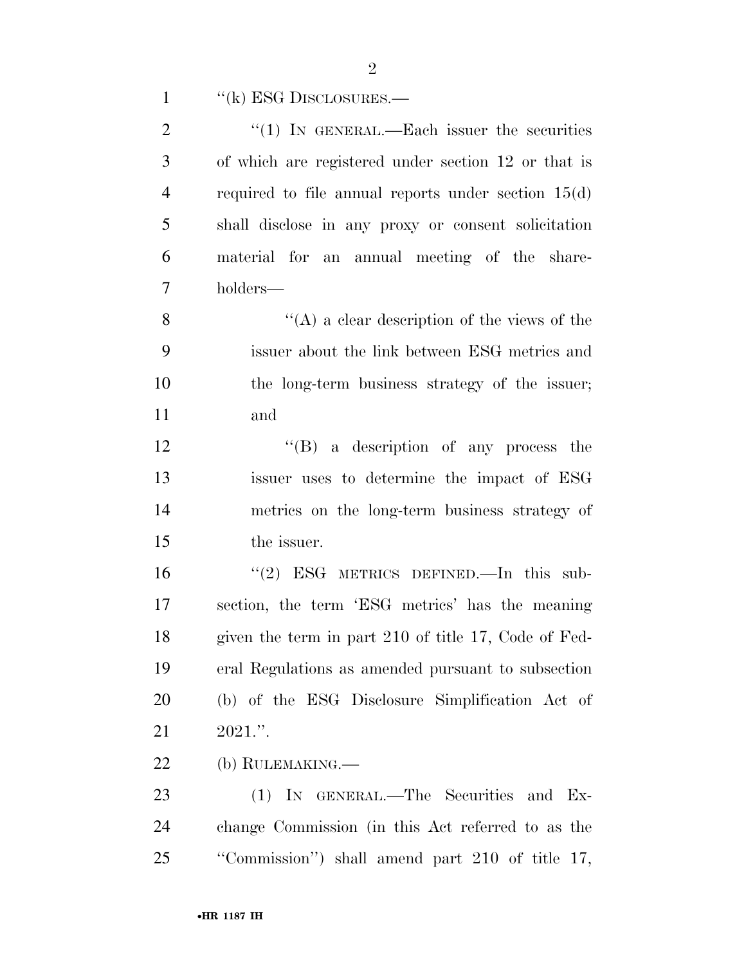| $\mathbf{1}$   | $``$ (k) ESG DISCLOSURES.—                            |
|----------------|-------------------------------------------------------|
| $\overline{2}$ | "(1) IN GENERAL.—Each issuer the securities           |
| 3              | of which are registered under section 12 or that is   |
| $\overline{4}$ | required to file annual reports under section $15(d)$ |
| 5              | shall disclose in any proxy or consent solicitation   |
| 6              | material for an annual meeting of the share-          |
| $\tau$         | holders—                                              |
| 8              | "(A) a clear description of the views of the          |
| 9              | issuer about the link between ESG metrics and         |
| 10             | the long-term business strategy of the issuer;        |
| 11             | and                                                   |
| 12             | $\lq\lq (B)$ a description of any process the         |
| 13             | issuer uses to determine the impact of ESG            |
| 14             | metrics on the long-term business strategy of         |
| 15             | the issuer.                                           |
| 16             | " $(2)$ ESG METRICS DEFINED. In this sub-             |
| 17             | section, the term 'ESG metrics' has the meaning       |
| 18             | given the term in part 210 of title 17, Code of Fed-  |
| 19             | eral Regulations as amended pursuant to subsection    |
| 20             | (b) of the ESG Disclosure Simplification Act of       |
| 21             | $2021$ .".                                            |
| 22             | (b) RULEMAKING.—                                      |
| 23             | (1) IN GENERAL.—The Securities and Ex-                |
| 24             | change Commission (in this Act referred to as the     |
| 25             | "Commission") shall amend part 210 of title 17,       |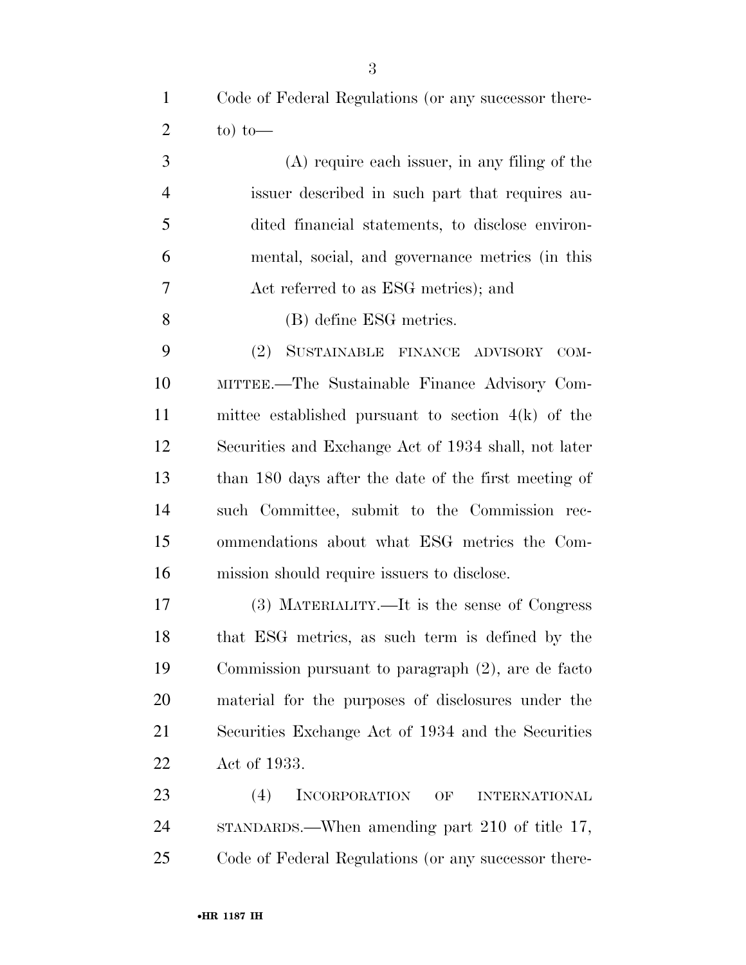Code of Federal Regulations (or any successor there-2 to) to  $-$ 

 (A) require each issuer, in any filing of the issuer described in such part that requires au- dited financial statements, to disclose environ- mental, social, and governance metrics (in this Act referred to as ESG metrics); and

(B) define ESG metrics.

 (2) SUSTAINABLE FINANCE ADVISORY COM- MITTEE.—The Sustainable Finance Advisory Com- mittee established pursuant to section 4(k) of the Securities and Exchange Act of 1934 shall, not later than 180 days after the date of the first meeting of such Committee, submit to the Commission rec- ommendations about what ESG metrics the Com-mission should require issuers to disclose.

 (3) MATERIALITY.—It is the sense of Congress that ESG metrics, as such term is defined by the Commission pursuant to paragraph (2), are de facto material for the purposes of disclosures under the Securities Exchange Act of 1934 and the Securities Act of 1933.

 (4) INCORPORATION OF INTERNATIONAL STANDARDS.—When amending part 210 of title 17, Code of Federal Regulations (or any successor there-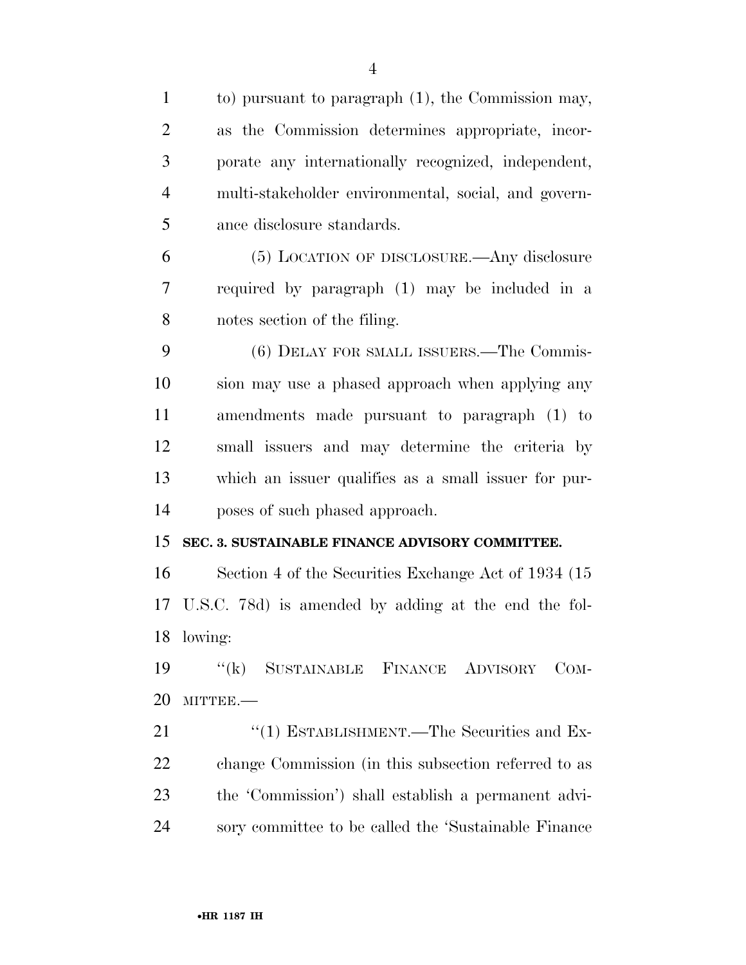| $\mathbf{1}$   | to) pursuant to paragraph (1), the Commission may,      |
|----------------|---------------------------------------------------------|
| $\overline{2}$ | as the Commission determines appropriate, incor-        |
| 3              | porate any internationally recognized, independent,     |
| $\overline{4}$ | multi-stakeholder environmental, social, and govern-    |
| 5              | ance disclosure standards.                              |
| 6              | (5) LOCATION OF DISCLOSURE.—Any disclosure              |
| 7              | required by paragraph (1) may be included in a          |
| 8              | notes section of the filing.                            |
| 9              | (6) DELAY FOR SMALL ISSUERS.—The Commis-                |
| 10             | sion may use a phased approach when applying any        |
| 11             | amendments made pursuant to paragraph (1) to            |
| 12             | small issuers and may determine the criteria by         |
| 13             | which an issuer qualifies as a small issuer for pur-    |
| 14             | poses of such phased approach.                          |
| 15             | SEC. 3. SUSTAINABLE FINANCE ADVISORY COMMITTEE.         |
| 16             | Section 4 of the Securities Exchange Act of 1934 (15)   |
|                | 17 U.S.C. 78d) is amended by adding at the end the fol- |
| 18             | lowing:                                                 |
| 19             | "(k) SUSTAINABLE FINANCE ADVISORY<br>$_{\rm COM}$ -     |
| 20             | MITTEE.-                                                |
| 21             | $\cdot$ (1) ESTABLISHMENT.—The Securities and Ex-       |
| 22             | change Commission (in this subsection referred to as    |
| 23             | the 'Commission') shall establish a permanent advi-     |
| 24             | sory committee to be called the 'Sustainable Finance    |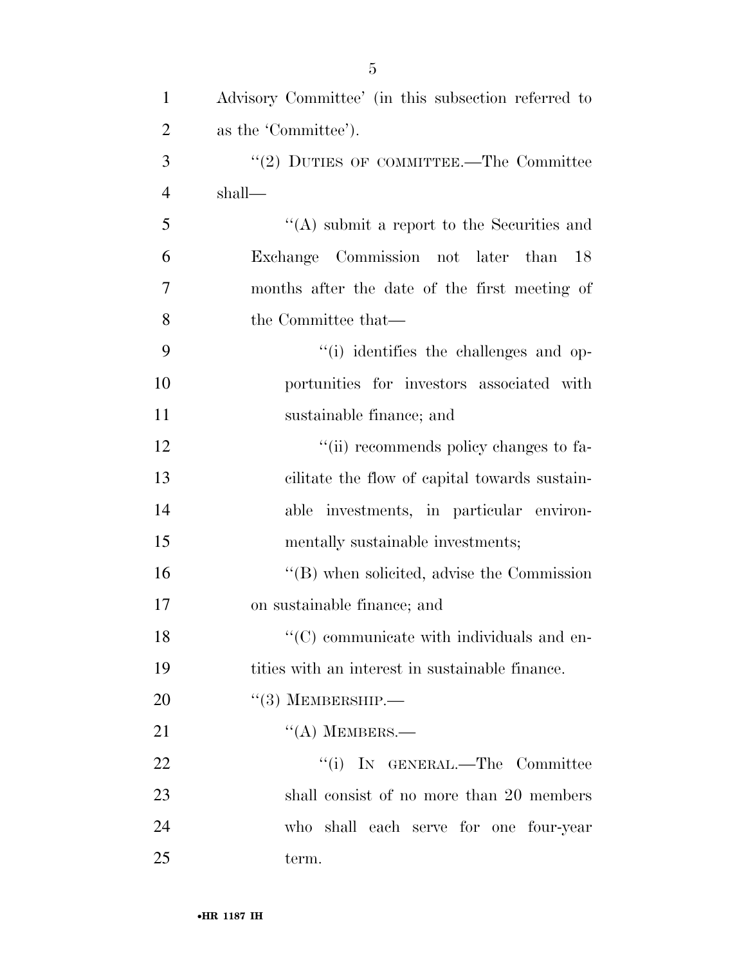| $\mathbf{1}$   | Advisory Committee' (in this subsection referred to |
|----------------|-----------------------------------------------------|
| $\overline{2}$ | as the 'Committee').                                |
| 3              | "(2) DUTIES OF COMMITTEE.—The Committee             |
| $\overline{4}$ | shall—                                              |
| 5              | "(A) submit a report to the Securities and          |
| 6              | Exchange Commission not later than<br>18            |
| 7              | months after the date of the first meeting of       |
| 8              | the Committee that—                                 |
| 9              | "(i) identifies the challenges and op-              |
| 10             | portunities for investors associated with           |
| 11             | sustainable finance; and                            |
| 12             | "(ii) recommends policy changes to fa-              |
| 13             | cilitate the flow of capital towards sustain-       |
| 14             | able investments, in particular environ-            |
| 15             | mentally sustainable investments;                   |
| 16             | "(B) when solicited, advise the Commission          |
| 17             | on sustainable finance; and                         |
| 18             | $\lq\lq$ (C) communicate with individuals and en-   |
| 19             | tities with an interest in sustainable finance.     |
| 20             | $\lq(3)$ MEMBERSHIP.—                               |
| 21             | $\lq\lq$ (A) MEMBERS.—                              |
| 22             | "(i) IN GENERAL.—The Committee                      |
| 23             | shall consist of no more than 20 members            |
| 24             | who shall each serve for one four-year              |
| 25             | term.                                               |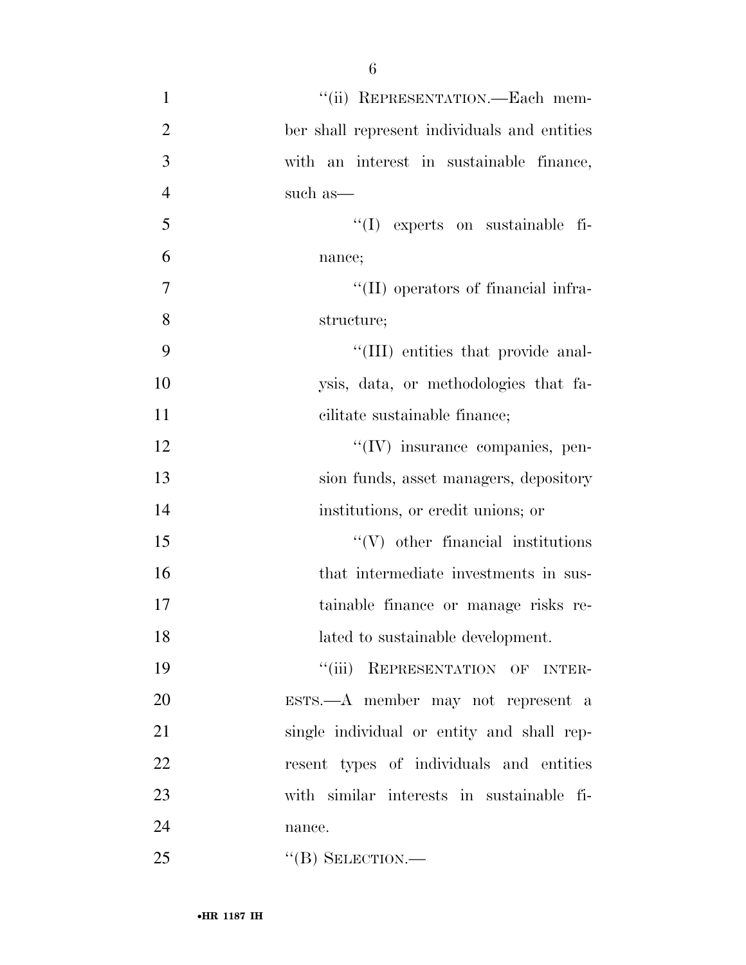| $\mathbf{1}$   | "(ii) REPRESENTATION.—Each mem-              |
|----------------|----------------------------------------------|
| $\overline{2}$ | ber shall represent individuals and entities |
| 3              | with an interest in sustainable finance,     |
| $\overline{4}$ | such as—                                     |
| 5              | $\lq\lq$ experts on sustainable fi-          |
| 6              | nance;                                       |
| $\tau$         | "(II) operators of financial infra-          |
| 8              | structure;                                   |
| 9              | "(III) entities that provide anal-           |
| 10             | ysis, data, or methodologies that fa-        |
| 11             | cilitate sustainable finance;                |
| 12             | "(IV) insurance companies, pen-              |
| 13             | sion funds, asset managers, depository       |
| 14             | institutions, or credit unions; or           |
| 15             | $\lq\lq(V)$ other financial institutions     |
| 16             | that intermediate investments in sus-        |
| 17             | tainable finance or manage risks re-         |
| 18             | lated to sustainable development.            |
| 19             | "(iii) REPRESENTATION OF INTER-              |
| 20             | $ESTS. - A$ member may not represent a       |
| 21             | single individual or entity and shall rep-   |
| 22             | resent types of individuals and entities     |
| 23             | with similar interests in sustainable fi-    |
| 24             | nance.                                       |
| 25             | $\lq\lq (B)$ SELECTION.—                     |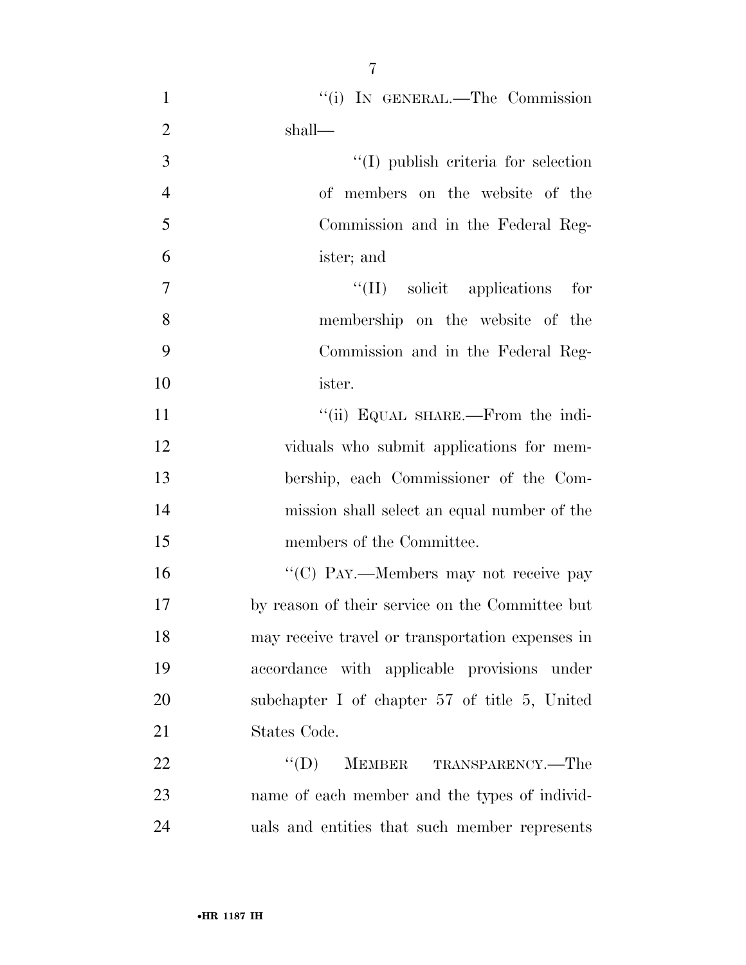| $\mathbf{1}$   | "(i) IN GENERAL.—The Commission                    |
|----------------|----------------------------------------------------|
| $\overline{2}$ | shall—                                             |
| 3              | $\lq\lq$ (I) publish criteria for selection        |
| $\overline{4}$ | of members on the website of the                   |
| 5              | Commission and in the Federal Reg-                 |
| 6              | ister; and                                         |
| $\overline{7}$ | $\lq\lq$ (II) solicit applications for             |
| 8              | membership on the website of the                   |
| 9              | Commission and in the Federal Reg-                 |
| 10             | ister.                                             |
| 11             | "(ii) EQUAL SHARE.—From the indi-                  |
| 12             | viduals who submit applications for mem-           |
| 13             | bership, each Commissioner of the Com-             |
| 14             | mission shall select an equal number of the        |
| 15             | members of the Committee.                          |
| 16             | "(C) PAY.—Members may not receive pay              |
| 17             | by reason of their service on the Committee but    |
| 18             | may receive travel or transportation expenses in   |
| 19             | accordance with applicable provisions under        |
| 20             | subchapter I of chapter $57$ of title $5$ , United |
| 21             | States Code.                                       |
| 22             | $\lq\lq (D)$<br>MEMBER TRANSPARENCY.-The           |
| 23             | name of each member and the types of individ-      |
| 24             | uals and entities that such member represents      |